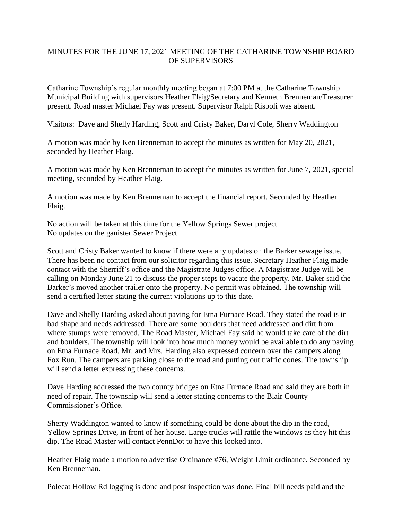## MINUTES FOR THE JUNE 17, 2021 MEETING OF THE CATHARINE TOWNSHIP BOARD OF SUPERVISORS

Catharine Township's regular monthly meeting began at 7:00 PM at the Catharine Township Municipal Building with supervisors Heather Flaig/Secretary and Kenneth Brenneman/Treasurer present. Road master Michael Fay was present. Supervisor Ralph Rispoli was absent.

Visitors: Dave and Shelly Harding, Scott and Cristy Baker, Daryl Cole, Sherry Waddington

A motion was made by Ken Brenneman to accept the minutes as written for May 20, 2021, seconded by Heather Flaig.

A motion was made by Ken Brenneman to accept the minutes as written for June 7, 2021, special meeting, seconded by Heather Flaig.

A motion was made by Ken Brenneman to accept the financial report. Seconded by Heather Flaig.

No action will be taken at this time for the Yellow Springs Sewer project. No updates on the ganister Sewer Project.

Scott and Cristy Baker wanted to know if there were any updates on the Barker sewage issue. There has been no contact from our solicitor regarding this issue. Secretary Heather Flaig made contact with the Sherriff's office and the Magistrate Judges office. A Magistrate Judge will be calling on Monday June 21 to discuss the proper steps to vacate the property. Mr. Baker said the Barker's moved another trailer onto the property. No permit was obtained. The township will send a certified letter stating the current violations up to this date.

Dave and Shelly Harding asked about paving for Etna Furnace Road. They stated the road is in bad shape and needs addressed. There are some boulders that need addressed and dirt from where stumps were removed. The Road Master, Michael Fay said he would take care of the dirt and boulders. The township will look into how much money would be available to do any paving on Etna Furnace Road. Mr. and Mrs. Harding also expressed concern over the campers along Fox Run. The campers are parking close to the road and putting out traffic cones. The township will send a letter expressing these concerns.

Dave Harding addressed the two county bridges on Etna Furnace Road and said they are both in need of repair. The township will send a letter stating concerns to the Blair County Commissioner's Office.

Sherry Waddington wanted to know if something could be done about the dip in the road, Yellow Springs Drive, in front of her house. Large trucks will rattle the windows as they hit this dip. The Road Master will contact PennDot to have this looked into.

Heather Flaig made a motion to advertise Ordinance #76, Weight Limit ordinance. Seconded by Ken Brenneman.

Polecat Hollow Rd logging is done and post inspection was done. Final bill needs paid and the